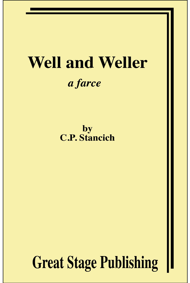# **Well and Weller** a farce

by **C.P. Stancich** 

**Great Stage Publishing**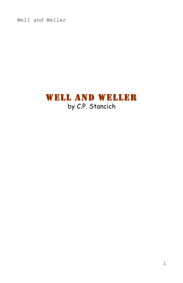## WELL AND WELLER by C.P. Stancich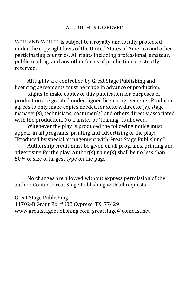#### **ALL RIGHTS RESERVED**

WELL AND WELLER is subject to a royalty and is fully protected under the copyright laws of the United States of America and other participating countries. All rights including professional, amateur, public reading, and any other forms of production are strictly reserved.

All rights are controlled by Great Stage Publishing and licensing agreements must be made in advance of production.

Rights to make copies of this publication for purposes of production are granted under signed license agreements. Producer agrees to only make copies needed for actors, director(s), stage  $manger(s)$ , technicians, costumer(s) and others directly associated with the production. No transfer or "loaning" is allowed.

Whenever the play is produced the following notice must appear in all programs, printing and advertising of the play: "Produced by special arrangement with Great Stage Publishing"

Authorship credit must be given on all programs, printing and advertising for the play. Author(s) name(s) shall be no less than 50% of size of largest type on the page.

No changes are allowed without express permission of the author. Contact Great Stage Publishing with all requests.

Great Stage Publishing

11702-B Grant Rd. #602 Cypress, TX 77429 www.greatstagepublishing.com greatstage@comcast.net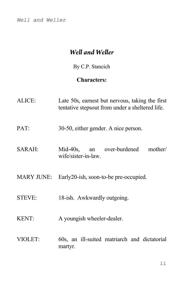## *Well and Weller*

By C.P. Stancich

## **Characters:**

| ALICE:        | Late 50s, earnest but nervous, taking the first<br>tentative stepsout from under a sheltered life. |
|---------------|----------------------------------------------------------------------------------------------------|
| PAT:          | 30-50, either gender. A nice person.                                                               |
| SARAH:        | Mid-40s, an over-burdened<br>mother/<br>wife/sister-in-law.                                        |
| MARY JUNE:    | Early 20-ish, soon-to-be pre-occupied.                                                             |
| <b>STEVE:</b> | 18-ish. Awkwardly outgoing.                                                                        |
| <b>KENT:</b>  | A youngish wheeler-dealer.                                                                         |
| VIOLET:       | 60s, an ill-suited matriarch and dictatorial<br>martyr.                                            |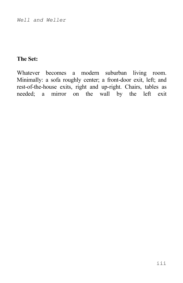## **The Set:**

Whatever becomes a modern suburban living room. Minimally: a sofa roughly center; a front-door exit, left; and rest-of-the-house exits, right and up-right. Chairs, tables as needed; a mirror on the wall by the left exit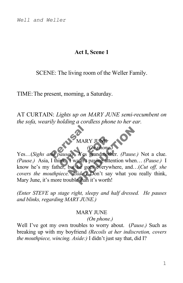## **Act I, Scene 1**

## SCENE: The living room of the Weller Family.

TIME:The present, morning, a Saturday.

AT CURTAIN: *Lights up on MARY JUNE semi-recumbent on the sofa, wearily holding a cordless phone to her ear.* 

## MARY J<br>MARY J<br>A pauses Yes gra MARY JUNE *(On phone.)*

Sousses Yes g<br>
link I wasn't pa MARY JUNE<br>
(On phone)<br>
es)<br>
Yes grandmother.<br>
I wasn't paying attention<br>
but he goes everywher<br>
Asides Don't say w MARY JUNE<br>
(On phone.)<br>
Yes grandmother. (Pause.) Not a<br>
asn't paying attention when... (Paus<br>
he goes everywhere, and...(Cut off,<br>
side.) Don't say what you really the<br>
than it's worth! Yes…(*Sighs and pauses)* Yes grandmother. *(Pause.)* Not a clue. *(Pause.)* Asia, I think. I wasn't paying attention when… *(Pause.)* I know he's my father, but he goes everywhere, and…(*Cut off, she covers the mouthpiece. Aside:)* Don't say what you really think, Mary June, it's more trouble than it's worth!

*(Enter STEVE up stage right, sleepy and half dressed. He pauses and blinks, regarding MARY JUNE.)*

## MARY JUNE

#### *(On phone.)*

Well I've got my own troubles to worry about. (*Pause.)* Such as breaking up with my boyfriend *(Recoils at her indiscretion, covers the mouthpiece, wincing. Aside:)* I didn't just say that, did I?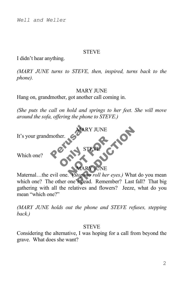#### **STEVE**

I didn't hear anything.

*(MARY JUNE turns to STEVE, then, inspired, turns back to the phone).*

#### MARY JUNE

Hang on, grandmother, got another call coming in.

*(She puts the call on hold and springs to her feet. She will move around the sofa, offering the phone to STEVE.)*



Maternal…the evil one. (*Stops to roll her eyes.)* What do you mean which one? The other one's dead. Remember? Last fall? That big gathering with all the relatives and flowers? Jeeze, what do you mean "which one?"

*(MARY JUNE holds out the phone and STEVE refuses, stepping back.)*

#### **STEVE**

Considering the alternative, I was hoping for a call from beyond the grave. What does she want?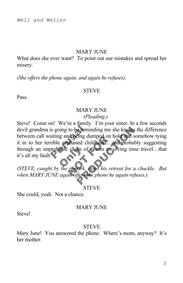#### MARY JUNE

What does she ever want? To point out our mistakes and spread her misery.

*(She offers the phone again, and again he refuses).*

#### **STEVE**

Pass.

#### **MARY JUNE**

#### *(Pleading.)*

is going to be remind<br>aiting and being dum<br>rible orphaned child<br>probable chain of ev through an improbable chain of events involving time travel...that<br>it's all my fault. not being dumped on not<br>braned childhood...and<br>chain of events involved<br>remark, stops his retre Framinding me she knows the differ<br>eing dumped on hold and somehow the childhood...and probably sugges<br>tin of events involving time travel...<br>tinux, stops his retreat for a chuckle.<br>fiers the phone he again refuses.) Steve! Come on! We're a family. I'm your sister. In a few seconds devil grandma is going to be reminding me she knows the difference between call waiting and being dumped on hold and somehow tying it in to her terrible orphaned childhood…and probably suggesting it's all my fault.

*(STEVE, caught by the remark, stops his retreat for a chuckle. But when MARY JUNE again offers the phone he again refuses.)*

#### **STEVE**

She could, yeah. Not a chance.

#### **MARY JUNE**

**Steve!** 

#### **STEVE**

Mary June! You answered the phone. Where's mom, anyway? It's her mother.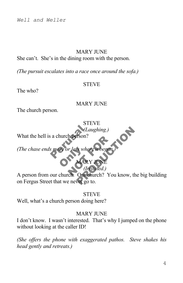#### **MARY JUNE**

#### She can't. She's in the dining room with the person.

*(The pursuit escalates into a race once around the sofa.)*

#### **STEVE**

The who?

#### **MARY JUNE**

The church person.

## **STEVE**

*(Laughing.)*

What the hell is a church per

a church person?<br>Se more or less where The or less when n person!<br>
r less where the began. *(The chase ends more* 

#### **MARY JUNE** *(Irritated.)*

(Laughing.)<br>
St where it began.<br>
MARY JUNE<br>
(Irritated.)<br>
Our church? You know, the big buil<br>
ver go to. A person from our church. Our church? You know, the big building on Fergus Street that we never go to.

#### **STEVE**

Well, what's a church person doing here?

#### **MARY JUNE**

I don't know. I wasn't interested. That's why I jumped on the phone without looking at the caller ID!

*(She offers the phone with exaggerated pathos. Steve shakes his head gently and retreats.)*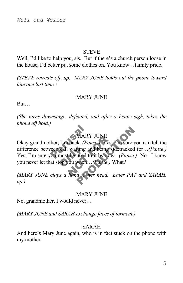#### **STEVE**

Well, I'd like to help you, sis. But if there's a church person loose in the house, I'd better put some clothes on. You know…family pride.

*(STEVE retreats off, up. MARY JUNE holds out the phone toward him one last time.)*

#### **MARY JUNE**

But…

*(She turns downstage, defeated, and after a heavy sigh, takes the phone off hold.)*

## MARY JUNE

MARY J<br>
ther, I'm back. (Paus<br>
veen call waiting and<br>
ou must be used to it **Call waiting and call waiting and concept**<br>The copyou when MARY JUNE<br>back. (Pause.) Yes, Yr<br>waiting and being side<br>be used to it by now.<br>you when...(Pause.) Wh<br>hand to her head. Enc MARY JUNE<br>
k. (Pause Yes, I'm sure you can tel<br>
iting and being sidetracked for...(Pa<br>
used to it by now. (Pause.) No. I k<br>
when...(Pause.) What?<br>
d to her head. Enter PAT and SAP Okay grandmother, I'm back. *(Pause.)* Yes, I'm sure you can tell the difference between call waiting and being sidetracked for…*(Pause.)* Yes, I'm sure you must be used to it by now. *(Pause.)* No. I know you never let that stop you when…*(Pause.)* What?

*(MARY JUNE claps a hand to her head. Enter PAT and SARAH, up.)*

#### **MARY JUNE**

No, grandmother, I would never…

*(MARY JUNE and SARAH exchange faces of torment.)*

## SARAH

And here's Mary June again, who is in fact stuck on the phone with my mother.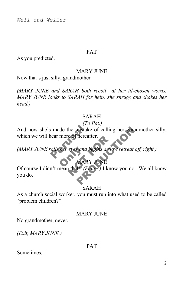#### PAT

As you predicted.

#### **MARY JUNE**

Now that's just silly, grandmother.

*(MARY JUNE and SARAH both recoil at her ill-chosen words. MARY JUNE looks to SARAH for help; she shrugs and shakes her head.)*

## SARAH

## *(To Pat.)*

And now she's made the mistake of calling her grandmother silly,<br>which we will hear more of hereafter.<br>(MARY JUNE rolls her eyes and begins a slow retreat off, right.) mistake of calling her grandmother<br>
Hereafter.<br>
S and begins a slow retreat off, right.)<br>
MARY JUNE<br>
(Pause.) I know you do. We all k which we will hear more of hereafter.

*(MARY JUNE rolls her eyes and begins a slow retreat off, right.)*<br> **MARY JUNE** 

## **MARY JUNE**

eves and begins a slow<br>eyes and begins a slow<br>MARY JUNE<br>that! (Pause.) I know Of course I didn't mean that! *(Pause.)* I know you do. We all know you do.

## SARAH

As a church social worker, you must run into what used to be called "problem children?"

#### MARY JUNE

No grandmother, never.

*(Exit, MARY JUNE.)*

#### PAT

**Sometimes**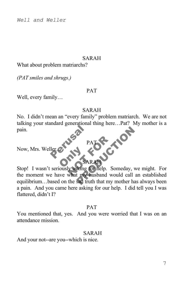#### SARAH

What about problem matriarchs?

*(PAT smiles and shrugs.)*

#### PAT

Well, every family…

#### SARAH

ler of New Pay No. I didn't mean an "every family" problem matriarch. We are not talking your standard generational thing here…Pat? My mother is a pain.

PAT

Now, Mrs. Weller.

#### SARAH

Now, Mrs. Weller Constant SARAH PALOT CONTRACT CONTRACT CONTRACT CONTRACT CONTRACT CONTRACT CONTRACT CONTRACT CONTRACT CONTRACT CONTRACT CONTRACT CONTRACT CONTRACT CONTRACT CONTRACT CONTRACT CONTRACT CONTRACT CONTRACT CONTRACT CONTRACT CONTRACT CONTRACT PATS<br>
PATS<br>
SARAH<br>
SARAH<br>
sking for help. Someday, we might.<br>
t my husband would call an establi<br>
sad truth that my mother has always the moment we have what my husband would call an established equilibrium…based on the sad truth that my mother has always been a pain. And you came here asking for our help. I did tell you I was flattered, didn't I?

#### PAT

You mentioned that, yes. And you were worried that I was on an attendance mission.

#### SARAH

And your not--are you--which is nice.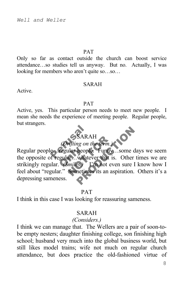#### PAT

Only so far as contact outside the church can boost service attendance…so studies tell us anyway. But no. Actually, I was looking for members who aren't quite so…so…

#### SARAH

Active.

#### PAT

Active, yes. This particular person needs to meet new people. I mean she needs the experience of meeting people. Regular people, but strangers.



Fégular people<br>gular ... whate<br>Gmiles ... SARAH<br> *ifting on the term.*<br> **EXECUTE:** Funny<br> **EXECUTE:** Funny<br> **EXECUTE:** Fund even<br> **Sometimes** its an aspi SARAH<br>
ng on the term.)<br>
people. Funny ...some days we s<br>
whatever that is. Other times we<br>
es.) Fin not even sure I know he<br>
netimes its an aspiration. Others i Regular people…regular people. Funny…some days we seem the opposite of regular…whatever that is. Other times we are strikingly regular. *(Smiles.)* I'm not even sure I know how I feel about "regular." Sometimes its an aspiration. Others it's a depressing sameness.

#### PAT

I think in this case I was looking for reassuring sameness.

#### SARAH

#### *(Considers.)*

I think we can manage that. The Wellers are a pair of soon-tobe empty nesters; daughter finishing college, son finishing high school; husband very much into the global business world, but still likes model trains; wife not much on regular church attendance, but does practice the old-fashioned virtue of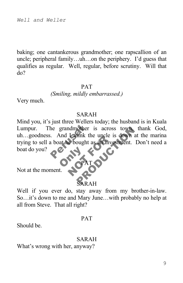baking; one cantankerous grandmother; one rapscallion of an uncle; peripheral family…uh…on the periphery. I'd guess that qualifies as regular. Well, regular, before scrutiny. Will that do?

#### PAT

#### *(Smiling, mildly embarrassed.)*

Very much.

#### SARAH

the grandmother is<br>And Lihink the<br>a boat he bought as **ONLY STAT** e bought as an invest Franchischer is across town, thank of<br>the uncle is down at the mandated as an investment. Don't need Mind you, it's just three Wellers today; the husband is in Kuala Lumpur. The grandmother is across town, thank God, uh...goodness. And I think the uncle is down at the marina trying to sell a boat he bought as an investment. Don't need a boat do you?

Not at the moment.

## ARAH

PAT

Well if you ever do, stay away from my brother-in-law. So…it's down to me and Mary June…with probably no help at all from Steve. That all right?

#### PAT

Should be.

#### SARAH

What's wrong with her, anyway?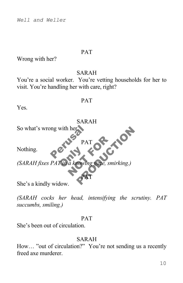## PAT

Wrong with her?

## SARAH

You're a social worker. You're vetting households for her to visit. You're handling her with care, right?

#### PAT

Yes.



*(SARAH cocks her head, intensifying the scrutiny. PAT succumbs, smiling.)*

#### PAT

She's been out of circulation.

#### SARAH

How… "out of circulation?" You're not sending us a recently freed axe murderer.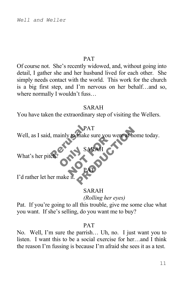#### PAT

Of course not. She's recently widowed, and, without going into detail, I gather she and her husband lived for each other. She simply needs contact with the world. This work for the church is a big first step, and I'm nervous on her behalf…and so, where normally I wouldn't fuss...

## SARAH

You have taken the extraordinary step of visiting the Wellers.

## PAT

PAT<br>
mainly to make su NOTING SARAH PAT<br>
make sure you were at home today<br>
SARAH Well, as I said, mainly to make sure you were at home today.

PAT

SARAH

**ONLY SAY** What's her pitch?

I'd rather let her make it

## SARAH

*(Rolling her eyes)*

Pat. If you're going to all this trouble, give me some clue what you want. If she's selling, do you want me to buy?

## PAT

No. Well, I'm sure the parrish… Uh, no. I just want you to listen. I want this to be a social exercise for her…and I think the reason I'm fussing is because I'm afraid she sees it as a test.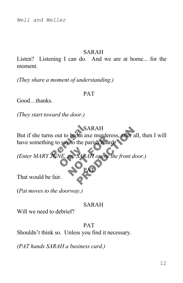## SARAH

Listen? Listening I can do. And we are at home... for the moment.

*(They share a moment of understanding.)*

## PAT

Good...thanks

*(They start toward the door.)*

## SARAH

SAR<br>
is out to be an axe r<br>
ig to say to the paris<br>
TUNE, up SARAH Notes and axe inductess, SARAH<br>
an axe murderess, after all, then I<br>
the parish board<br>
SARAH opens the front door.) But if she turns out to be an axe murderess, after all, then I will have something to say to the parish board.

PAT

VE, UD SARAI *(Enter MARY JUNE, up. SARAH opens the front door.)*

That would be fair.

(*Pat moves to the doorway.)*

#### SARAH

Will we need to debrief?

#### PAT

Shouldn't think so. Unless you find it necessary.

*(PAT hands SARAH a business card.)*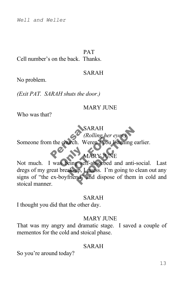#### PAT

Cell number's on the back. Thanks.

#### SARAH

No problem.

*(Exit PAT. SARAH shuts the door.)*

### MARY JUNE

Who was that?

## SARAH

SAR<br>
the church. Were *(Rolling her eyes.)* Someone from the church. Weren't you listening earlier.

## MARY JUNE

Not much. I was being self-absorbed and anti-social. Last (*Rolling ner eye*<br>
WARY JUNE<br>
eing self-absorbed an<br>
ak-up, Lguess. I'm go SARAH<br>
(Rolling her eyes.)<br>
1. Weren't you listening earlier.<br>
MARY JUNE<br>
5. Self-absorbed and anti-social.<br>
1. In going to clean out<br>
1. In going to clean out<br>
1. The going to clean out<br>
1. The going to clean out<br>
1. The dregs of my great break-up, I guess. I'm going to clean out any signs of "the ex-boyfriend" and dispose of them in cold and stoical manner.

#### SARAH

I thought you did that the other day.

#### MARY JUNE

That was my angry and dramatic stage. I saved a couple of mementos for the cold and stoical phase.

### SARAH

So you're around today?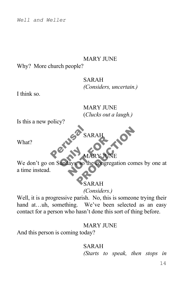## MARY JUNE

Why? More church people?

## SARAH *(Considers, uncertain.)*

I think so.

MARY JUNE (*Clucks out a laugh.)*

Is this a new policy?

Perusa SAR SARAH

What?

## MARY JUNE

We don't go on Sunda NARY JUNE SARAH<br>MARYJUNE<br>SO the congregation comes by or he congregation comes by one at a time instead.

## SARAH

*(Considers.)*

Well, it is a progressive parish. No, this is someone trying their hand at…uh, something. We've been selected as an easy contact for a person who hasn't done this sort of thing before.

## MARY JUNE

And this person is coming today?

## SARAH *(Starts to speak, then stops in*

14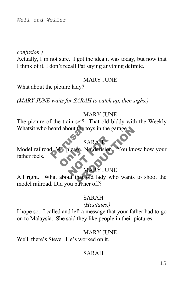### *confusion.)*

Actually, I'm not sure. I got the idea it was today, but now that I think of it, I don't recall Pat saying anything definite.

#### MARY JUNE

What about the picture lady?

*(MARY JUNE waits for SARAH to catch up, then sighs.)*

## MARY JUNE

The picture of the train set? That old biddy with the Weekly

## SARAH

Whatsit who heard about the toys in the garage.<br>
SARAH<br>
Model railroad, MJ, please. No derision. You Dease. No. SARAH SARAH<br>SARAH<br>Se. No derision. You know how<br>MARY JUNE<br>hat old lady who wants to shoot Model railroad, MJ, please. No derision. You know how your father feels.

## MARY JUNE

All right. What about that old lady who wants to shoot the model railroad. Did you put her off?

#### SARAH

#### *(Hesitates.)*

I hope so. I called and left a message that your father had to go on to Malaysia. She said they like people in their pictures.

#### **MARY JUNE**

Well, there's Steve. He's worked on it.

## SARAH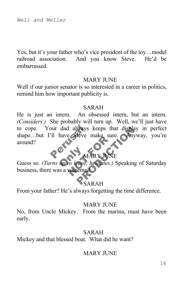Yes, but it's your father who's vice president of the toy…model railroad association. And you know Steve. He'd be embarrassed.

#### MARY JUNE

Well if our junior senator is so interested in a career in politics, remind him how important publicity is.

#### SARAH

bur dad always keeps that display in per He is just an intern. An obsessed intern, but an intern. *(Considers.)* She probably will turn up. Well, we'll just have to cope. Your dad always keeps that display in perfect shape…but I'll have Steve make sure. Anyway, you're around?

## MARY JUNE

on<br>up to leave, h NOT FOR Guess so. *(Turns up to leave, hesitates.)* Speaking of Saturday business, there was a voicemail.

## SARAH

From your father? He's always forgetting the time difference.

#### MARY JUNE

No, from Uncle Mickey. From the marina, must have been early.

## SARAH

Mickey and that blessed boat. What did he want?

## MARY JUNE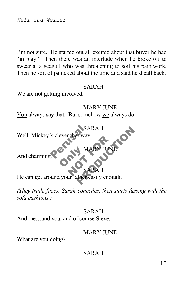I'm not sure. He started out all excited about that buyer he had "in play." Then there was an interlude when he broke off to swear at a seagull who was threatening to soil his paintwork. Then he sort of panicked about the time and said he'd call back.

#### SARAH

We are not getting involved.

MARY JUNE You always say that. But somehow we always do.

SAR<br>SAR<br>References MARY JUNE SARAH<br>MARY JUNE<br>SARAH<br>SARAH<br>Athereasily enough. SARAH Well, Mickey's clever that way.

And charming.

SARAH He can get around your father easily enough.

**ONLY MA** 

*(They trade faces, Sarah concedes, then starts fussing with the sofa cushions.)*

## SARAH

And me…and you, and of course Steve.

#### **MARY JUNE**

MARY JUNE

What are you doing?

## SARAH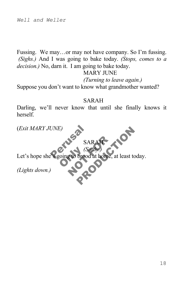Fussing. We may…or may not have company. So I'm fussing. *(Sighs.)* And I was going to bake today. *(Stops, comes to a decision.)* No, darn it. I am going to bake today.

## MARY JUNE

*(Turning to leave again.)*

Suppose you don't want to know what grandmother wanted?

## SARAH

Darling, we'll never know that until she finally knows it herself.

SARAH

(*Exit MARY JUNE)*

UNE)<br>SAR<br>Regoing to brood a Coing to brood SARAH SARAH<br>(Softly)<br>brood at home, at least today. *(Softly.)* Let's hope she's going to brood at home, at least today.

*(Lights down.)*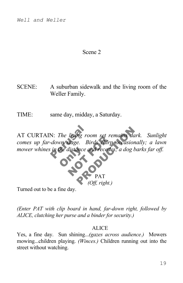## Scene 2

- SCENE: A suburban sidewalk and the living room of the Weller Family.
- TIME: same day, midday, a Saturday.

N: The living room set remains dark. Sun.<br>
down stage. Birds chirp occasionally; a l<br>
in the distance and recedes, a dog barks far.<br>
PAT<br>
PAT<br>
Off, right.) mower whines in the distance and recedes; a dog barks far off.<br> **CONLINER PROPERTY** AT CURTAIN: *The living room set remains dark. Sunlight comes up far-down stage. Birds chirp occasionally; a lawn* 



Turned out to be a fine day.

*(Enter PAT with clip board in hand, far-down right, followed by ALICE, clutching her purse and a binder for security.)*

#### ALICE

Yes, a fine day. Sun shining...*(gazes across audience.)* Mowers mowing...children playing. *(Winces.)* Children running out into the street without watching.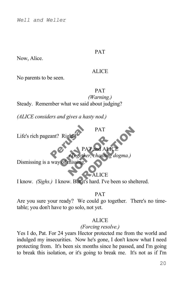#### PAT

Now, Alice.

#### ALICE

No parents to be seen.

#### PAT

*(Warning.)* Steady. Remember what we said about judging?

*(ALICE considers and gives a hasty nod.)*

ant? Right? Life's rich pageant? Right

PAT and ALICE PAT and ALICE

*(Together, chanting dogma.)*

PAT

PAT<br>Dismissing is a way of missing.

## ALICE

PAT and ALICE<br>gether, chanting dogma.)<br>ing.<br>CALICE<br>ut it's hard. I've been so sheltered. I know. *(Sighs.)* I know. But it's hard. I've been so sheltered.

PAT

Are you sure your ready? We could go together. There's no timetable; you don't have to go solo, not yet.

## **ALICE**

## *(Forcing resolve.)*

Yes I do, Pat. For 24 years Hector protected me from the world and indulged my insecurities. Now he's gone, I don't know what I need protecting from. It's been six months since he passed, and I'm going to break this isolation, or it's going to break me. It's not as if I'm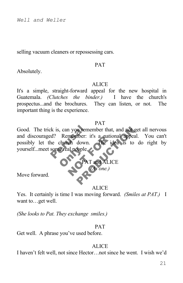selling vacuum cleaners or repossessing cars.

#### PAT

Absolutely.

#### **ALICE**

It's a simple, straight-forward appeal for the new hospital in Guatemala. *(Clutches the binder.)* I have the church's prospectus...and the brochures. They can listen, or not. The important thing is the experience.

#### PAT

Good. The trick is, can you remember that, and not get all nervous<br>and discouraged? Remember: it's a national appeal. You can't<br>possibly let the church down. The idea is to do right by<br>yourself...meet some real people. Property in the state of the state of the state of the state of the state of the state of the state of the state of the state of the state of the state of the state of the state of the state of the state of the state of th and discouraged? Remember: it's a national appeal. You can't possibly let the church down. The idea is to do right by

yourself...meet some real people. member: it's a national<br>ch down.<br>al people.<br>A FAT and ALICE<br>(As one.) PAT and ALICE *(As one.)*

Move forward.

#### **ALICE**

Yes. It certainly is time I was moving forward. *(Smiles at PAT.)* I want to…get well.

*(She looks to Pat. They exchange smiles.)*

#### PAT

Get well. A phrase you've used before.

#### **ALICE**

I haven't felt well, not since Hector…not since he went. I wish we'd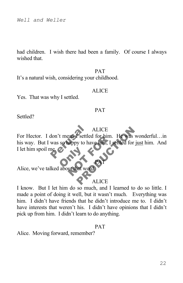had children. I wish there had been a family. Of course I always wished that.

#### PAT

It's a natural wish, considering your childhood.

#### ALICE

Yes. That was why I settled.

#### PAT

Settled?

A<br>
don't mean Psettled<br>
was so happy to have Pappy to have him, I set ALICE<br>
Psettled for him. He was wonderful<br>
y to have him. I settled for just him.<br>
and word.<br>
ALICE **ALICE** For Hector. I don't mean I settled for him. He was wonderful…in his way. But I was so happy to have him, I settled for just him. And I let him spoil me.

I let him spoil me C and that word.

#### **ALICE**

PAT

I know. But I let him do so much, and I learned to do so little. I made a point of doing it well, but it wasn't much. Everything was him. I didn't have friends that he didn't introduce me to. I didn't have interests that weren't his. I didn't have opinions that I didn't pick up from him. I didn't learn to do anything.

#### PAT

Alice. Moving forward, remember?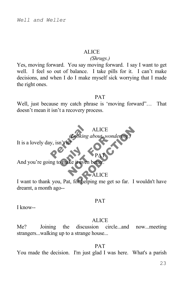#### ALICE

#### *(Shrugs.)*

Yes, moving forward. You say moving forward. I say I want to get well. I feel so out of balance. I take pills for it. I can't make decisions, and when I do I make myself sick worrying that I made the right ones.

#### PAT

Well, just because my catch phrase is 'moving forward"… That doesn't mean it isn't a recovery process.

# Report of the Collaing of ALICE<br>
Soking about wondering.)<br>
PAT<br>
teven better.<br>
PALICE<br>
Thelping me get so far. I wouldn't **ALICE** *(Looking about, wondering.)*

PAT

It is a lovely day,  $isn'$ 

Onake ji even! NORTH AND THE PAT And you're going to make it even better.

ALICE

I want to thank you, Pat, for helping me get so far. I wouldn't have dreamt, a month ago--

#### PAT

I know--

#### **ALICE**

Me? Joining the discussion circle...and now...meeting strangers...walking up to a strange house...

PAT You made the decision. I'm just glad I was here. What's a parish

23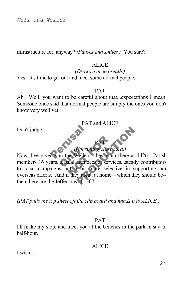infrastructure for, anyway? *(Pauses and smiles.)* You sure?

#### **ALICE**

*(Draws a deep breath.)* Yes. It's time to get out and meet some normal people.

#### PAT

Ah. Well, you want to be careful about that...expectations I mean. Someone once said that normal people are simply the ones you don't know very well yet.

Don't judge.

PAT and ALICE

#### PAT *(Consulting clip board.)*

Prince Consulture Consult<br>Su the Wellers.<br>Casual attende PAT<br>Consulting clip boar<br>ne Wellers...they're up t<br>ut a bit more selective<br>f they aren't at home—w PAT<br>
Consulting clip board.)<br>
Vellers...they're up there at 1426. P<br>
attendees at services...steady contribition<br>
bit more selective in supporting<br>
six 1507. Now, I've given you the Wellers...they're up there at 1426. Parish members 16 years...casual attendees at services...steady contributors to local campaigns but a bit more selective in supporting our overseas efforts. And if they aren't at home—which they should be- then there are the Jeffersons at 1507.

*(PAT pulls the top sheet off the clip board and hands it to ALICE.)*

#### PAT

I'll make my stop, and meet you at the benches in the park in say...a half-hour.

**ALICE** 

I wish...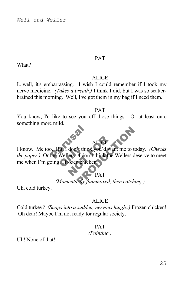#### PAT

What?

#### ALICE

I...well, it's embarrassing. I wish I could remember if I took my nerve medicine. *(Takes a breath.)* I think I did, but I was so scatterbrained this morning. Well, I've got them in my bag if I need them.

#### PAT

You know, I'd like to see you off those things. Or at least onto something more mild.



## PAT

## *(Momentarily flummoxed, then catching.)*

Uh, cold turkey.

#### ALICE

Cold turkey? *(Snaps into a sudden, nervous laugh..)* Frozen chicken! Oh dear! Maybe I'm not ready for regular society.

#### PAT

#### *(Pointing.)*

Uh! None of that!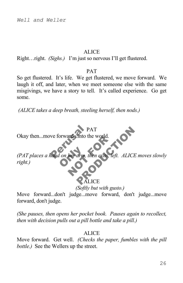#### **ALICE**

Right…right. *(Sighs.)* I'm just so nervous I'll get flustered.

#### PAT

So get flustered. It's life. We get flustered, we move forward. We laugh it off, and later, when we meet someone else with the same misgivings, we have a story to tell. It's called experience. Go get some.

*(ALICE takes a deep breath, steeling herself, then nods.)*

PAT Okay then...move forward...into the world.

PAT<br>ve forward, into the I on her drm, th her drm, then exits, left. PAT<br>
thro the world.<br>
drm, then exits, left. ALICE moves sl *(PAT places a hand on her arm, then exits, left. ALICE moves slowly right.)*

## ALICE

*(Softly but with gusto.)*

Move forward...don't judge...move forward, don't judge...move forward, don't judge.

*(She pauses, then opens her pocket book. Pauses again to recollect, then with decision pulls out a pill bottle and take a pill.)*

#### **ALICE**

Move forward. Get well. *(Checks the paper, fumbles with the pill bottle.)* See the Wellers up the street.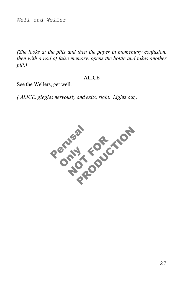*(She looks at the pills and then the paper in momentary confusion, then with a nod of false memory, opens the bottle and takes another pill.)*

#### **ALICE**

See the Wellers, get well.

*( ALICE, giggles nervously and exits, right. Lights out,)*

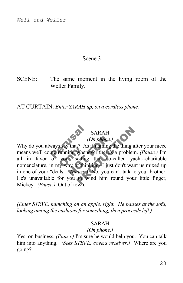#### Scene 3

SCENE: The same moment in the living room of the Weller Family.

AT CURTAIN: *Enter SARAH up, on a cordless phone.*



 $\frac{8}{2}$ <br>  $\frac{8}{2}$ <br>  $\frac{8}{2}$ <br>  $\frac{8}{2}$ <br>  $\frac{8}{2}$ <br>  $\frac{8}{2}$ <br>  $\frac{8}{2}$ <br>  $\frac{8}{2}$ <br>  $\frac{8}{2}$ <br>  $\frac{8}{2}$ <br>  $\frac{8}{2}$ <br>  $\frac{8}{2}$ <br>  $\frac{8}{2}$ <br>  $\frac{8}{2}$ <br>  $\frac{8}{2}$ <br>  $\frac{8}{2}$ <br>  $\frac{8}{2}$ <br>  $\frac{8}{2}$ <br>  $\frac{8}{2}$ <br>  $\frac{8}{2}$ <br> Figure 125<br>
yout selling<br>
yout selling<br>
y way of think (On phone.)<br>
that? As if naming the<br>
ing whenever there's a<br>
it selling that so-cal<br>
ay of thinking-I just do<br>
(Pause.) No, you can' SARAH<br>
(On phone.)<br>
t? As if naming the thing after your r<br>
whenever there's a problem. (Pause.,<br>
elling that so-called yacht--chari<br>
of thinking-I just don't want us mixe<br>
tuse.) No, you can't talk to your bro<br>
to wind hi Why do you always say that? As if naming the thing after your niece means we'll come running whenever there's a problem. *(Pause.)* I'm all in favor of your selling that so-called yacht--charitable nomenclature, in my way of thinking--I just don't want us mixed up in one of your "deals." *(Pause.)* No, you can't talk to your brother. He's unavailable for you to wind him round your little finger, Mickey. *(Pause.)* Out of town.

*(Enter STEVE, munching on an apple, right. He pauses at the sofa, looking among the cushions for something, then proceeds left.)*

#### SARAH

#### *(On phone.)*

Yes, on business. *(Pause.)* I'm sure he would help you. You can talk him into anything. *(Sees STEVE, covers receiver.)* Where are you going?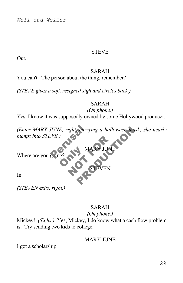#### STEVE

Out.

#### SARAH

You can't. The person about the thing, remember?

*(STEVE gives a soft, resigned sigh and circles back.)*

#### SARAH

*(On phone.)*

MARY JUNE

**EN** 

Yes, I know it was supposedly owned by some Hollywood producer.

(Enter MARY JUNE, right, carrying a halloween mask; she nearly bumps into STEVE.)<br>Where are you going?<br>In. NARY JUNE *bumps into STEVE.)*

**ONLY MANUSCRIPT** Where are you going

In.

*(STEVEN exits, right.)*

## SARAH

#### *(On phone.)*

Mickey! *(Sighs.)* Yes, Mickey, I do know what a cash flow problem is. Try sending two kids to college.

#### MARY JUNE

I got a scholarship.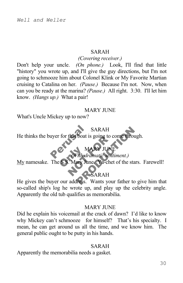#### SARAH

#### *(Covering receiver.)*

Don't help your uncle. *(On phone.)* Look, I'll find that little "history" you wrote up, and I'll give the guy directions, but I'm not going to schmooze him about Colonel Klink or My Favorite Martian cruising to Catalina on her. *(Pause.)* Because I'm not. Now, when can you be ready at the marina? *(Pause.)* All right. 3:30. I'll let him know. *(Hangs up.)* What a pair!

#### MARY JUNE

What's Uncle Mickey up to now?

## SARAH

SA<br>
uyer for that boat is g<br>
With dram He thinks the buyer for that boat is going to come through.

## MA<br>With dra MARY JUNE<br>Mith dramatic sentim<br>Mary June Ya-chet of MARY JUNE *(With dramatic sentiment.)*

My namesake. The S.S. Mary June. Ya-chet of the stars. Farewell!

## SARAH

SARAH<br>He thinks the buyer for that boat is going to come through.<br>My namesake. The S.S. Mary June Ya-chet of the stars. Farewell!<br>He gives the buyer our address. Wants your father to give him that so-called ship's log he wrote up, and play up the celebrity angle. Apparently the old tub qualifies as memorabilia.

#### MARY JUNE

Did he explain his voicemail at the crack of dawn? I'd like to know why Mickey can't schmooze for himself? That's his specialty. I mean, he can get around us all the time, and we know him. The general public ought to be putty in his hands.

#### SARAH

Apparently the memorabilia needs a gasket.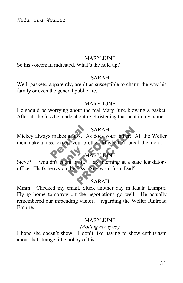#### **MARY JUNE**

So his voicemail indicated. What's the hold up?

#### SARAH

Well, gaskets, apparently, aren't as susceptible to charm the way his family or even the general public are.

#### **MARY JUNE**

He should be worrying about the real Mary June blowing a gasket. After all the fuss he made about re-christening that boat in my name.

#### SARAH

SARAH<br>
makes a fuss. As does your father. All the W<br>
ss...except your brother Maybe he'll break the mo<br>
MARY JUNE<br>
dn't count on it. He's interning at a state legisla<br>
eavy on the fuss. Any word from Dad?<br>
SARAH Mickey always makes a fuss. As does your father. All the Weller men make a fuss...except your brother. Maybe he'll break the mold.

## **MARY JUNE**

Steve? I wouldn't count on it. He's interning at a state legislator's A TUSS. As does your Extra<br>Dr your brother Maybe P<br>MARY JUNE<br>Int on it. He's interning<br>the fuss. Any word from office. That's heavy on the fuss. Any word from Dad?

#### SARAH

Mmm. Checked my email. Stuck another day in Kuala Lumpur. Flying home tomorrow...if the negotiations go well. He actually remembered our impending visitor… regarding the Weller Railroad Empire.

#### **MARY JUNE**

#### *(Rolling her eyes.)*

I hope she doesn't show. I don't like having to show enthusiasm about that strange little hobby of his.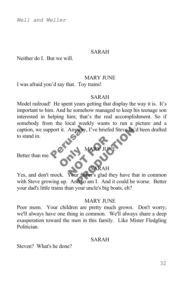#### SARAH

Neither do I. But we will.

#### **MARY JUNE**

I was afraid you'd say that. Toy trains!

#### SARAH

port it. Anyway, I've Model railroad! He spent years getting that display the way it is. It's important to him. And he somehow managed to keep his teenage son interested in helping him; that's the real accomplishment. So if somebody from the local weekly wants to run a picture and a caption, we support it. Anyway, I've briefed Steve he'd been drafted to stand in.

Better than me.

## **ONLY NA** SARAH

MARY JUNE

NARY JUNE MARY JUNE<br>MARY JUNE<br>SARAH<br>Tather's glad they have that in commutes of any L. And it could be worse. Yes, and don't mock. Your father's glad they have that in common with Steve growing up. And so am I. And it could be worse. Better your dad's little trains than your uncle's big boats, eh?

#### **MARY JUNE**

Poor mom. Your children are pretty much grown. Don't worry; we'll always have one thing in common. We'll always share a deep exasperation toward the men in this family. Like Mister Fledgling **Politician** 

#### SARAH

Steven? What's he done?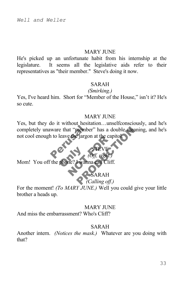#### MARY JUNE

He's picked up an unfortunate habit from his internship at the legislature. It seems all the legislative aids refer to their representatives as "their member." Steve's doing it now.

#### SARAH

#### *(Smirking.)*

Yes, I've heard him. Short for "Member of the House," isn't it? He's so cute.

#### **MARY JUNE**

STEVE *(Off, right.)*

ware that "member"<br>
i to leave the jargon a member" has a double meaning, and<br>
Ejargon at the capitol.<br>
STEVE<br>
(Off, right.)<br>
SARAH<br>
(Calling off.) Yes, but they do it without hesitation…unselfconsciously, and he's completely unaware that "member" has a double meaning, and he's not cool enough to leave the jargon at the capitol.

Phone? Lyanna The Same Capitor of the Capitor of the Capitor of the Capitor of the Capitor of the Capitor of the Capitor of the Capitor of the Capitor of the Capitor of the Capitor of the Capitor of the Capitor of the Capitor of the Cap Mom! You off the phone? I wanna call Cliff.

## SARAH

## *(Calling off.)*

For the moment! *(To MARY JUNE.)* Well you could give your little brother a heads up.

### MARY JUNE

And miss the embarrassment? Who's Cliff?

#### SARAH

Another intern. *(Notices the mask.)* Whatever are you doing with that?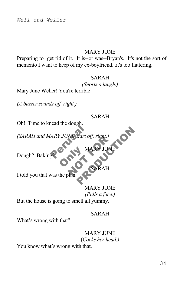#### MARY JUNE

Preparing to get rid of it. It is--or was--Bryan's. It's not the sort of memento I want to keep of my ex-boyfriend...it's too flattering.

#### SARAH

*(Snorts a laugh.)*

Mary June Weller! You're terrible!

*(A buzzer sounds off, right.)*

#### SARAH

MARY JUNE

 $\overline{R}$ AH

Oh! Time to knead the dough.

ARY JUNE Start off NE Start off, right.)<br>MARY JUNE<br>NARY JUNE Start off, right.) *(SARAH and MARY JUNE start off, right)* 

Dough? Baking?

I told you that was the plan.

**MARY JUNE** *(Pulls a face.)* But the house is going to smell all yummy.

**ONLY NA** 

#### SARAH

What's wrong with that?

## **MARY JUNE** (*Cocks her head.)*

You know what's wrong with that.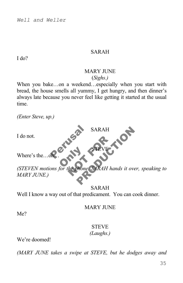#### SARAH

I do?

#### MARY JUNE (*Sighs.)*

SARAH

STEVE

When you bake...on a weekend...especially when you start with bread, the house smells all yummy, I get hungry, and then dinner's always late because you never feel like getting it started at the usual time.

*(Enter Steve, up.)*

I do not.

Refusal s Where's the oh

**Only 1** NOTE OF BRAH hand SARAH<br>PRODUCTION<br>PRODUCTION SARAH hands it over, speaking *(STEVEN motions for the phone. SARAH hands it over, speaking to MARY JUNE.)*

SARAH Well I know a way out of that predicament. You can cook dinner.

MARY JUNE

Me?

#### **STEVE** *(Laughs.)*

We're doomed!

*(MARY JUNE takes a swipe at STEVE, but he dodges away and*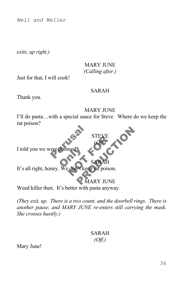*exits, up right.)*

## **MARY JUNE** *(Calling after.)*

Just for that, I will cook!

#### SARAH

Thank you.

#### MARY JUNE

STEVE (*Off.)*

I'll do pasta…with a special sauce for Steve. Where do we keep the rat poison?

Perusal S doomed I told you we were doo

NEWERTH STEVE CHAPTER COMPANY SARAH It's all right, honey. We don't keep rat poison.

MARY JUNE

SARAH

Weed killer then. It's better with pasta anyway.

*(They exit, up. There is a two count, and the doorbell rings. There is another pause, and MARY JUNE re-enters still carrying the mask. She crosses hastily.)*

## SARAH *(Off.)*

Mary June!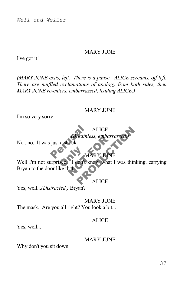#### MARY JUNE

I've got it!

*(MARY JUNE exits, left. There is a pause. ALICE screams, off left. There are muffled exclamations of apology from both sides, then MARY JUNE re-enters, embarrassed, leading ALICE.)*

#### MARY JUNE

I'm so very sorry.

## A<br>
ust a shock. **ALICE** *(Breathless, embarrassed.)*

No...no. It was just a shock.

## **MARY**

Extra MA Christianus Contrasses<br>
MARY JUNE<br>
T don't know what I v ALICE<br>
Peathless, embarrassed.<br>
MARY JUNE<br>
JOIT Know what I was thinking, carr<br>
ALICE Well I'm not surprised. I don't know what I was thinking, carrying Bryan to the door like that.

**ALICE** 

Yes, well...*(Distracted.)* Bryan?

**MARY JUNE** The mask. Are you all right? You look a bit...

#### **ALICE**

Yes, well...

#### MARY JUNE

Why don't you sit down.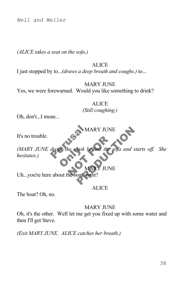*(ALICE takes a seat on the sofa.)*

#### **ALICE**

I just stopped by to...*(draws a deep breath and coughs.)* to...

**MARY JUNE** 

Yes, we were forewarned. Would you like something to drink?

**ALICE** *(Still coughing.)*

Oh, don't...I mean...

MARY JUNE

It's no trouble.

drops the mask beha os the mask be the mask behind the soft MARY JUNE<br>
Mask behind the sofa and starts off.<br>
MARY JUNE<br>
oat, right? *(MARY JUNE drops the mask behind the sofa and starts off. She hesitates.)*

**JUNE** 

Uh...you're here about the boat, right?

ALICE

The boat? Oh, no.

#### MARY JUNE

Oh, it's the other. Well let me get you fixed up with some water and then I'll get Steve.

*(Exit MARY JUNE. ALICE catches her breath.)*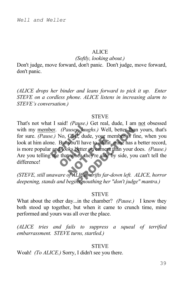#### **ALICE**

#### *(Softly, looking about.)*

Don't judge, move forward, don't panic. Don't judge, move forward, don't panic.

*(ALICE drops her binder and leans forward to pick it up. Enter STEVE on a cordless phone. ALICE listens in increasing alarm to STEVE's conversation.)*

#### **STEVE**

e.) No. Cliff, dude,<br>e.) No. Cliff, dude,<br>ne. But you'll have to<br>and looks better on Hooks better of Form, quae, your memerical<br>you'll have to admit, mixed<br>the better on camera that<br>when they're side by s S. *Laughs.*) Well, better than yours, the dude, your member is fine, when<br>Il have to admit, mine has a better resetter on camera than your does. *(Pa*<br>len they're side by side, you can't tel That's not what I said! *(Pause.)* Get real, dude, I am not obsessed with my member. *(Pauses, laughs.)* Well, better than yours, that's for sure. *(Pause.)* No, Cliff, dude, your member is fine, when you look at him alone. But you'll have to admit, mine has a better record, is more popular and looks better on camera than your does. *(Pause.)* Are you telling me that when they're side by side, you can't tell the difference!

*(STEVE, still unaware of ALICE, drifts far-down left. ALICE, horror deepening, stands and begins mouthing her "don't judge" mantra.)*

#### **STEVE**

What about the other day...in the chamber? *(Pause.)* I know they both stood up together, but when it came to crunch time, mine performed and yours was all over the place.

*(ALICE tries and fails to suppress a squeal of terrified embarrassment. STEVE turns, startled.)*

#### **STEVE**

Woah! *(To ALICE.)* Sorry, I didn't see you there.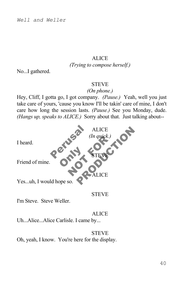## **ALICE**

*(Trying to compose herself.)*

No...I gathered.

#### **STEVE**

#### *(On phone.)*

Hey, Cliff, I gotta go, I got company. *(Pause.)* Yeah, well you just take care of yours, 'cause you know I'll be takin' care of mine, I don't care how long the session lasts. *(Pause.)* See you Monday, dude. *(Hangs up, speaks to ALICE.)* Sorry about that. Just talking about--



#### **STEVE**

I'm Steve. Steve Weller.

#### **ALICE**

Uh...Alice...Alice Carlisle. I came by...

#### **STEVE**

Oh, yeah, I know. You're here for the display.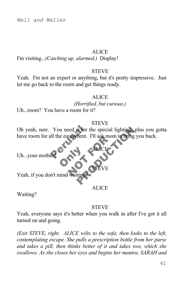#### **ALICE**

I'm visiting...*(Catching up, alarmed.)* Display!

#### **STEVE**

Yeah. I'm not an expert or anything, but it's pretty impressive. Just let me go back to the room and get things ready.

#### **ALICE**

*(Horrified, but curious.)*

Uh...room? You have a room for it?

#### **STEVE**

ALICE

STEVE

You need it for the special lighting. plus you s<br>all the equipment. I'll ask mom to bring you back. NOTE CONTROL<br>NOTE CONTROL CONTROL<br>Natime Oh yeah, sure. You need it for the special lighting...plus you gotta have room for all the equipment. I'll ask mom to bring you back.

**Only 1** 

Uh...your mother?

Yeah, if you don't mind waiti

**ALICE** 

Waiting?

#### **STEVE**

Yeah, everyone says it's better when you walk in after I've got it all turned on and going.

*(Exit STEVE, right. ALICE wilts to the sofa, then looks to the left, contemplating escape. She pulls a prescription bottle from her purse and takes a pill, then thinks better of it and takes two, which she swallows. As she closes her eyes and begins her mantra, SARAH and*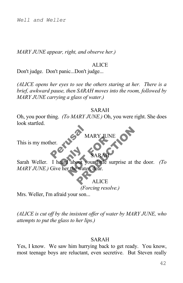*MARY JUNE appear, right, and observe her.)*

#### **ALICE**

Don't judge. Don't panic...Don't judge...

*(ALICE opens her eyes to see the others staring at her. There is a brief, awkward pause, then SARAH moves into the room, followed by MARY JUNE carrying a glass of water.)*

#### SARAH

MARY JUNE

SARAH

Perusal MAF Oh, you poor thing. *(To MARY JUNE.)* Oh, you were right. She does look startled.

This is my mother.

eard about you MARY JUNE MARY JUNE Sarah Weller. I heard about your little surprise at the door. *(To MARY JUNE.)* Give her the water, dear.

**ALICE** *(Forcing resolve.)*

Mrs. Weller, I'm afraid your son...

*(ALICE is cut off by the insistent offer of water by MARY JUNE, who attempts to put the glass to her lips.)*

#### SARAH

Yes, I know. We saw him hurrying back to get ready. You know, most teenage boys are reluctant, even secretive. But Steven really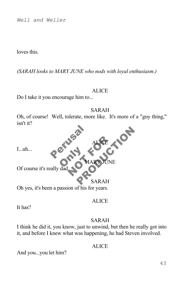loves this.

*(SARAH looks to MARY JUNE who nods with loyal enthusiasm.)*

#### ALICE

Do I take it you encourage him to...

Perusal SARAH Oh, of course! Well, tolerate, more like. It's more of a "guy thing," isn't it?

I...uh...

**ONLY NA** Of course it's really da

**READER TONS** SARAH

NOT THE CALL

**MARY** 

ALICE

Oh yes, it's been a passion of his for years.

#### **ALICE**

It has?

#### SARAH

I think he did it, you know, just to unwind, but then he really got into it, and before I knew what was happening, he had Steven involved.

## ALICE

And you...you let him?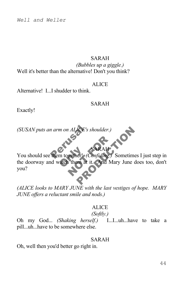#### SARAH

*(Bubbles up a giggle.)* Well it's better than the alternative! Don't you think?

#### ALICE

Alternative! I...I shudder to think.

#### SARAH

 $\Delta H$ 

Exactly!

*(SUSAN puts an arm on ALICE's shoulder.)*

*(SUSAN puts an arm on ALICE's shoulder.)*<br>Pou should see them together! *(Confiding.)* Sometimes I just step in m together! SARAH JCE's shoulder.)<br>SARAH<br>erl (Confiding.) Sometimes I just stem<br>at it. And Mary June does too, the doorway and watch them at it. And Mary June does too, don't you?

*(ALICE looks to MARY JUNE with the last vestiges of hope. MARY JUNE offers a reluctant smile and nods.)*

## ALICE

## *(Softly.)*

Oh my God... *(Shaking herself.)* I...I...uh...have to take a pill...uh...have to be somewhere else.

#### SARAH

Oh, well then you'd better go right in.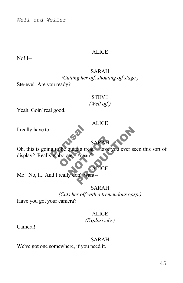### ALICE

No! I--

#### SARAH *(Cutting her off, shouting off stage.)* Ste-eve! Are you ready?

## **STEVE** *(Well off.)*

**ALICE** 

Yeah. Goin' real good.

I really have to--

er<br>
especialistes du Santa Capital<br>
Salaborate Timean? SARAH<br>quite a treat Have you<br>te Tmean?<br>MOTCE SARAH<br>e a treat Clave you ever seen this so SARAH Oh, this is going to be quite a treat. Have you ever seen this sort of

de quite a treated borate. I mean? display? Really elaborate, I mean?

Me! No, I... And I really don't want--

#### SARAH

ICE

*(Cuts her off with a tremendous gasp.)*

Have you got your camera?

## **ALICE**

*(Explosively.)*

Camera!

#### SARAH

We've got one somewhere, if you need it.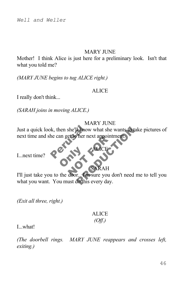#### **MARY JUNE**

Mother! I think Alice is just here for a preliminary look. Isn't that what you told me?

*(MARY JUNE begins to tug ALICE right.)*

#### ALICE

I really don't think...

*(SARAH joins in moving ALICE.)*

#### MARY JUNE

We then she'll know whe can get to her next Just a quick look, then she'll know what she wants to take pictures of next time and she can get to her next appointment.

I...next time?

**Only 1** RAH

ALICE

ELO ner next appointme France wants to take picture<br>
there next appointment. I'll just take you to the door. I'm sure you don't need me to tell you what you want. You must do this every day.

*(Exit all three, right.)*

## **ALICE** *(Off.)*

I. what!

*(The doorbell rings. MARY JUNE reappears and crosses left, exiting.)*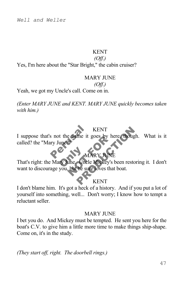#### KENT

*(Off.)*

Yes, I'm here about the "Star Bright," the cabin cruiser?

#### MARY JUNE

#### *(Off.)*

Yeah, we got my Uncle's call. Come on in.

*(Enter MARY JUNE and KENT. MARY JUNE quickly becomes taken with him.)*

KENT

KENT<br>
S not the fiame it goes by here, though. What<br>
y June 21<br>
MARY JUNE<br>
MARY JUNE<br>
MARY JUNE<br>
22<br>
MARY JUNE<br>
RENT<br>
KENT I suppose that's not the name it goes by here, though. What is it called? the "Mary June?"

## MARY JUN

That's right: the Mary June. Uncle Mickey's been restoring it. I don't MARY JUNE<br>MARY JUNE<br>Line – Uncle Mickey's be<br>but he sure loves that b want to discourage you, but he sure loves that boat.

## KENT

I don't blame him. It's got a heck of a history. And if you put a lot of yourself into something, well... Don't worry; I know how to tempt a reluctant seller.

## **MARY JUNE**

I bet you do. And Mickey must be tempted. He sent you here for the boat's C.V. to give him a little more time to make things ship-shape. Come on, it's in the study.

*(They start off, right. The doorbell rings.)*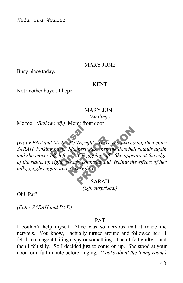#### **MARY JUNE**

Busy place today.

#### KENT

Not another buyer, I hope.

MARY JUNE

*(Smiling.)*

Me too. *(Bellows off.)* Mom: front door!

*Perusal*<br> *MARY JONE, right.*<br> *Spack.* She hesitates<br>
off, left. ALICE gigg ck. She hesitat<br>left. ALICE gig<br>ht. clearly confi *NONE, right.* There is a<br>She hesitates, then the c<br>ALICE giggles, off. Shearly confused and fee *NE*, right. There is a two count, then a<br>Shesitates, then the doorbell sounds a<br>*ICE* giggles, off. She appears at the<br>Ly confused and feeling the effects of<br>sright)<br>SARAH *(Exit KENT and MARY JUNE,right. There is a two count, then enter SARAH, looking back. She hesitates, then the doorbell sounds again and she moves off, left. ALICE giggles, off. She appears at the edge of the stage, up right, clearly confused and feeling the effects of her pills, giggles again and exits right.)*

 SARAH *(Off, surprised.)*

Oh! Pat?

*(Enter SARAH and PAT.)*

#### PAT

I couldn't help myself. Alice was so nervous that it made me nervous. You know, I actually turned around and followed her. I felt like an agent tailing a spy or something. Then I felt guilty…and then I felt silly. So I decided just to come on up. She stood at your door for a full minute before ringing. *(Looks about the living room.)*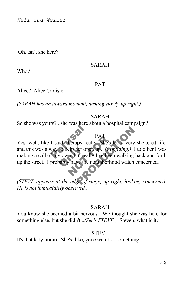Oh, isn't she here?

#### SARAH

Who?

#### PAT

Alice? Alice Carlisle.

*(SARAH has an inward moment, turning slowly up right.)*

#### SARAH

So she was yours?...she was here about a hospital campaign?

## I said, therapy really<br>way to help her open to help her open<br>y own, but really<br>pably have the n PAT<br>
herapy really She's led<br>
elp her open up. (Confident)<br>
I've been whave the neighborhood PAT<br>
Yes, well, like I said, therapy really. She's led a very sheltered life,<br>
and this was a way to help her open up. *(Confiding.)* I told her I was<br>
making a call of my own, but really I've been walking back and forth<br> PAT Yes, well, like I said, therapy really. She's led a very sheltered life, and this was a way to help her open up. *(Confiding.)* I told her I was making a call of my own, but really I've been walking back and forth up the street. I probably have the neighborhood watch concerned.

*He is not immediately observed.)*

#### SARAH

You know she seemed a bit nervous. We thought she was here for something else, but she didn't...*(See's STEVE.)* Steven, what is it?

## **STEVE**

It's that lady, mom. She's, like, gone weird or something.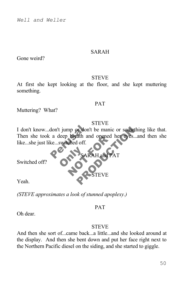#### SARAH

Gone weird?

#### **STEVE**

At first she kept looking at the floor, and she kept muttering something.

#### PAT

Muttering? What?

#### **STEVE**

don't jump or don't be manic or something like<br>
a deep breath and opened her eyes...and then<br>
ke...switched off.<br>
SARAH and PAT<br>
SARAH and PAT Preath and opened he<br>ched off.<br>SARAH and PAT I don't know...don't jump or don't be manic or something like that. Then she took a deep breath and opened her eyes...and then she like...she just like...switched off.

 $SARAH$  and

Switched off?

Yeah.

*(STEVE approximates a look of stunned apoplexy.)*

**ONLY SAR** 

#### PAT

STEVE

Oh dear.

#### **STEVE**

And then she sort of...came back...a little...and she looked around at the display. And then she bent down and put her face right next to the Northern Pacific diesel on the siding, and she started to giggle.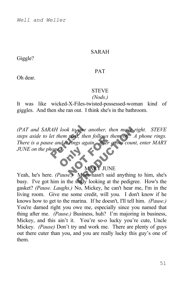#### SARAH

Giggle?

#### PAT

Oh dear.

#### **STEVE**

#### *(Nods.)*

It was like wicked-X-Files-twisted-possessed-woman kind of giggles. And then she ran out. I think she's in the bathroom.

AH look to one and<br>let them pass, then for<br>e and it rings again. pass, then jollows then<br>
rings again<br>
After a two<br>
MARY JUNE<br>
CAMARY JUNE Fore another, then move right. ST<br>
S, then follows them off. A phone r<br>
gs again After a two count, enter M<br>
MARY JUNE<br>
MARY JUNE<br>
MARY JUNE<br>
MARY JUNE<br>
MARY JUNE<br>
MARY JUNE<br>
MARY JUNE<br>
MARY JUNE<br>
MOM hasn't said anything *(PAT and SARAH look to one another, then move right. STEVE steps aside to let them pass, then follows them off. A phone rings. There is a pause and it rings again. After a two count, enter MARY JUNE on the phone.)*

OF.

## MARY JUNE

Yeah, he's here. *(Pause.)* Mom hasn't said anything to him, she's busy. I've got him in the study looking at the pedigree. How's the gasket? *(Pause. Laughs.)* No, Mickey, he can't hear me, I'm in the living room. Give me some credit, will you. I don't know if he knows how to get to the marina. If he doesn't, I'll tell him. *(Pause.)* You're darned right you owe me, especially since you named that thing after me. *(Pause.)* Business, huh? I'm majoring in business, Mickey, and this ain't it. You're so-o lucky you're cute, Uncle Mickey. *(Pause)* Don't try and work me. There are plenty of guys out there cuter than you, and you are really lucky this guy's one of them.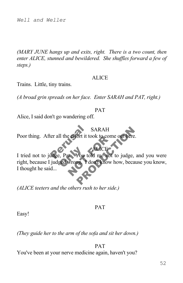*(MARY JUNE hangs up and exits, right. There is a two count, then enter ALICE, stunned and bewildered. She shuffles forward a few of steps.)* 

#### ALICE

Trains. Little, tiny trains.

*(A broad grin spreads on her face. Enter SARAH and PAT, right.)*

#### PAT

 $\rm{CE}$ 

Alice, I said don't go wandering off.

SA<br>
er all the effort it tool SARAH Poor thing. After all the effort it took to come out here.

e, Pat. You to e errort it took to come c SARAH<br>
SARAH<br>
For it took to come out here.<br>
Prop told me not to judge, and you<br>
Prop Prop The New York, because you known to the Same of the Same of the Same of the Same of the Same of the Same of the Same of the Same of I tried not to judge, Pat. You told me not to judge, and you were right, because I judged wrong. I don't know how, because you know, I thought he said...

*(ALICE teeters and the others rush to her side.)*

#### PAT

Easy!

*(They guide her to the arm of the sofa and sit her down.)*

PAT You've been at your nerve medicine again, haven't you?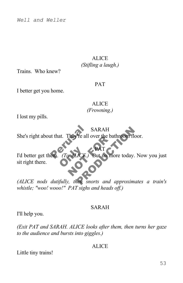#### **ALICE** *(Stifling a laugh.)*

Trains. Who knew?

#### PAT

I better get you home.

## **ALICE** *(Frowning.)*

I lost my pills.

SA<br>It that. They're all ov SARAH She's right about that. They're all over the bathroom floor.

Toxice. PAT CE But in more SARAH<br>
She's right about that. They're all over the bathroom floor.<br>
I'd better get them. (To ALICE.) But no more today. Now you just<br>
sit right there.<br>
(ALICE nods dutifully, then snorts and approximates a train's PAT I'd better get them. *(To ALICE.)* But no more today. Now you just sit right there.

*whistle; "woo! wooo!" PAT sighs and heads off.)*

#### SARAH

I'll help you.

*(Exit PAT and SARAH. ALICE looks after them, then turns her gaze to the audience and bursts into giggles.)*

## ALICE

Little tiny trains!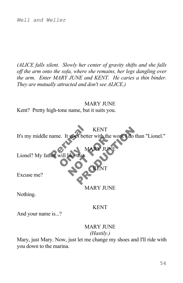*(ALICE falls silent. Slowly her center of gravity shifts and she falls off the arm onto the sofa, where she remains, her legs dangling over the arm. Enter MARY JUNE and KENT. He caries a thin binder. They are mutually attracted and don't see ALICE.)*

#### **MARY JUNE**

Kent? Pretty high-tone name, but it suits you.



Nothing.

#### KENT

And your name is...?

#### **MARY JUNE** *(Hastily.)*

Mary, just Mary. Now, just let me change my shoes and I'll ride with you down to the marina.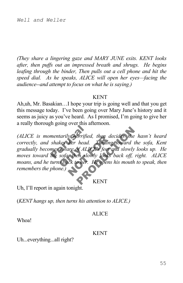*(They share a lingering gaze and MARY JUNE exits. KENT looks after, then puffs out an impressed breath and shrugs. He begins*  leafing through the binder, Then pulls out a cell phone and hit the *speed dial. As he speaks, ALICE will open her eyes—facing the audience--and attempt to focus on what he is saying.)*

#### KENT

Ah,uh, Mr. Basakian…I hope your trip is going well and that you get this message today. I've been going over Mary June's history and it seems as juicy as you've heard. As I promised, I'm going to give her a really thorough going over this afternoon.

reging overline and<br>mentarily horrified,<br>shakes her head.<br>mes aware of ALICE<br>the sofa, then slow! aware of ALIC<br>sofa, then slow<br>s back to her. *x* horrified, then decident<br>ther head. Turning to<br>the of ALICE's feet and<br>then slowly looks back to her. He opens his orrified, then decides she hasn't h<br>head. Furning toward the sofa,<br>of ALICE's feet and slowly looks up.<br>en slowly looks back off, right. Al<br>cher. He opens his mouth to speak,<br>KENT *(ALICE is momentarily horrified, then decides she hasn't heard correctly, and shakes her head. Turning toward the sofa, Kent gradually becomes aware of ALICE's feet and slowly looks up. He moves toward the sofa, then slowly looks back off, right. ALICE moans, and he turns back to her. He opens his mouth to speak, then remembers the phone.)*

KENT

Uh, I'll report in again tonight.

(*KENT hangs up, then turns his attention to ALICE.)*

#### **ALICE**

Whoa!

#### KENT

Uh...everything...all right?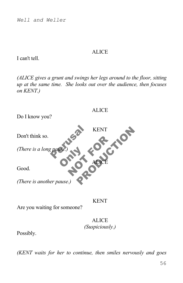#### ALICE

I can't tell.

*(ALICE gives a grunt and swings her legs around to the floor, sitting up at the same time. She looks out over the audience, then focuses on KENT.)*



Are you waiting for someone?

## **ALICE** *(Suspiciously.)*

Possibly.

*(KENT waits for her to continue, then smiles nervously and goes*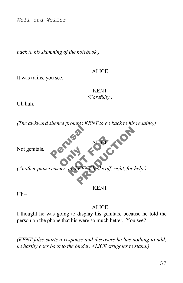*back to his skimming of the notebook.)*

#### **ALICE**

It was trains, you see.

KENT *(Carefully.)*

Uh huh.



Uh--

**ALICE** 

I thought he was going to display his genitals, because he told the person on the phone that his were so much better. You see?

*(KENT false-starts a response and discovers he has nothing to add; he hastily goes back to the binder. ALICE struggles to stand.)*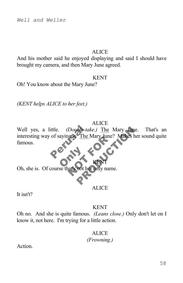#### **ALICE**

And his mother said he enjoyed displaying and said I should have brought my camera, and then Mary June agreed.

#### KENT

Oh! You know about the Mary June?

*(KENT helps ALICE to her feet.)*

#### **ALICE**

ittle. (Double-take.) The Mary June. That's<br>of saying it. The Mary June? Makes her sound READERS TO THE MATY JUNE ? Well yes, a little. *(Double-take.)* The Mary June. That's an interesting way of saying it. The Mary June? Makes her sound quite famous.

**Only 1** Oh, she is. Of course that's not her only name.

#### **ALICE**

KENT

It isn't?

#### KENT

Oh no. And she is quite famous. *(Leans close.)* Only don't let on I know it, not here. I'm trying for a little action.

## **ALICE**

*(Frowning.)*

**Action**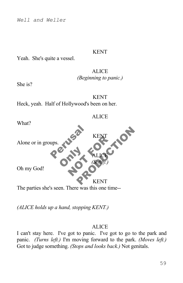#### KENT

Yeah. She's quite a vessel.

## **ALICE** *(Beginning to panic.)*

She is?

KENT Heck, yeah. Half of Hollywood's been on her.



*(ALICE holds up a hand, stopping KENT.)*

#### **ALICE**

I can't stay here. I've got to panic. I've got to go to the park and panic. *(Turns left.)* I'm moving forward to the park. *(Moves left.)* Got to judge something. *(Stops and looks back.)* Not genitals.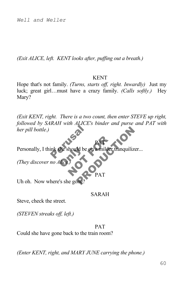*(Exit ALICE, left. KENT looks after, puffing out a breath.)*

#### KENT

Hope that's not family. *(Turns, starts off, right. Inwardly)* Just my luck; great girl…must have a crazy family. *(Calls softly.)* Hey Mary?

ink she should be on De Manilder tranquilizer... *(Exit KENT, right. There is a two count, then enter STEVE up right, followed by SARAH with ALICE's binder and purse and PAT with her pill bottle.)*

the should be of PAT Personally, I think she should be on a milder tranquilizer...

*(They discover no Alice.)*

PAT

PAT

Uh oh. Now where's she gone

#### SARAH

Steve, check the street.

*(STEVEN streaks off, left.)*

#### PAT

Could she have gone back to the train room?

*(Enter KENT, right, and MARY JUNE carrying the phone.)*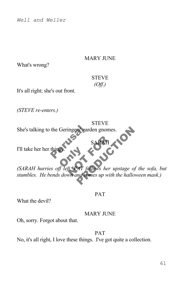#### MARY JUNE

What's wrong?

## **STEVE** *(Off.)*

**STEVE** 

SARAH

It's all right; she's out front.

*(STEVE re-enters.)*

She's talking to the Geringers' garden gnomes.

I'll take her her thing

**B** AN SARAH SARAH<br>SARAH<br>AT follows her upstage of the sofa,<br>and comes up with the halloween mas. *(SARAH hurries off left. PAT follows her upstage of the sofa, but stumbles. He bends down and comes up with the halloween mask.)*

#### PAT

What the devil?

#### MARY JUNE

Oh, sorry. Forgot about that.

#### PAT

No, it's all right, I love these things. I've got quite a collection.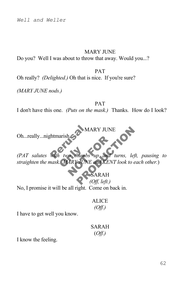#### MARY JUNE

Do you? Well I was about to throw that away. Would you...?

PAT Oh really? *(Delighted.)* Oh that is nice. If you're sure?

*(MARY JUNE nods.)*

PAT I don't have this one. *(Puts on the mask.)* Thanks. How do I look?

MARY JUNE

Oh...really...nightmarish.

htmarish View Thumbs NOT THE WARD CONTROL OF THE WARY JUNE and KENT IS MARY JUNE<br>
Humbs up and turns, left, pausin,<br>
JUNE and KENT look to each other<br>
SARAH<br>
(Off, left.) *(PAT salutes with two thumbs up and turns, left, pausing to straighten the mask. MARY JUNE and KENT look to each other.*)

SARAH *(Off, left.)*

No, I promise it will be all right. Come on back in.

**ALICE** *(Off.)*

I have to get well you know.

SARAH (*Off.)*

I know the feeling.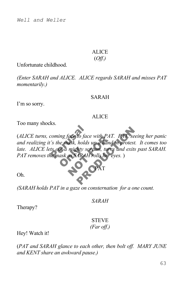## ALICE

## (*Off.)*

Unfortunate childhood.

*(Enter SARAH and ALICE. ALICE regards SARAH and misses PAT momentarily.)*

#### SARAH

I'm so sorry.

#### ALICE

Too many shocks.

coming face to face with PAT. PAT seeing her p<br>
is the mask, holds up a hand in protest. It come.<br>
ts out a mighty scream, turns and exits past SAP<br>
ie mask as SARAH rolls her eyes. )<br>
PAT *at a mighty scrate ask as SARAH* ace to jace with PAI.<br>
ask, holds up a hand in<br>
mighty scream, turns a<br>
as SARAH rolls her eyes<br>
PAT (*ALICE turns, coming face to face with PAT. PAT, seeing her panic and realizing it's the mask, holds up a hand in protest. It comes too*  late. ALICE lets out a mighty scream, turns and exits past SARAH. *PAT removes the mask as SARAH rolls her eyes.* )

Oh.

*(SARAH holds PAT in a gaze on consternation for a one count.*

*SARAH*

PAT

Therapy?

## **STEVE** *(Far off.)*

Hey! Watch it!

(*PAT and SARAH glance to each other, then bolt off. MARY JUNE and KENT share an awkward pause.)*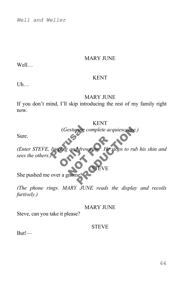#### MARY JUNE

Well…

#### KENT

 $U<sub>h...</sub>$ 

#### **MARY JUNE**

If you don't mind, I'll skip introducing the rest of my family right now.

KENT

Sure.

(*Gesturing complete acquiescence.*)<br>
limping and frowning. He stops to rub ouve and frown and frowning. He stop Fing complete acquiescence.)<br>
Strowning. He stops to rub his shin *(Enter STEVE, limping and frowning. He stops to rub his shin and sees the others.)*

She pushed me over a gnome

*(The phone rings. MARY JUNE reads the display and recoils furtively.)*

MARY JUNE

STEVE

Steve, can you take it please?

#### STEVE

But!—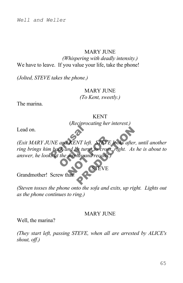## MARY JUNE

*(Whispering with deadly intensity.)* We have to leave. If you value your life, take the phone!

*(Jolted, STEVE takes the phone.)*

#### MARY JUNE *(To Kent, sweetly.)*

The marina.

KENT (*Reciprocating her interest.)*

Lead on.

The Completion<br>The and KENT left.<br>It back and he turns to a sat the display and r **CK** and he turns<br>the display and **EXENT** left. STEVE loomd the turns to cross, right *O*<br>
NT left. STEVE looks after, until and<br>
the turns to cross, right. As he is abo<br>
lay and recoils.)<br>
STEVE *(Exit MARY JUNE and KENT left. STEVE looks after, until another ring brings him back and he turns to cross, right. As he is about to answer, he looks at the display and recoils.)*

Grandmother! Screw that!

*(Steven tosses the phone onto the sofa and exits, up right. Lights out as the phone continues to ring.)*

#### **MARY JUNE**

STEVE

Well, the marina?

*(They start left, passing STEVE, when all are arrested by ALICE's shout, off.)*